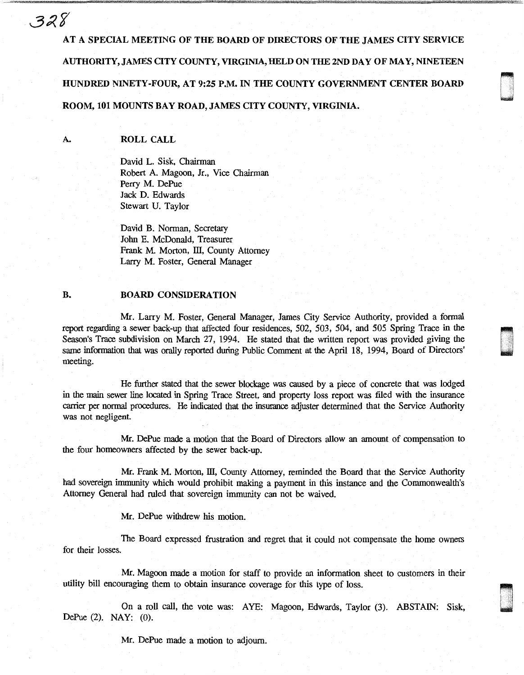AT A SPECIAL MEETING OF THE BOARD OF DIRECTORS OF THE JAMES CITY SERVICE AUTHORITY, JAMES CITY COUNTY, VIRGINIA, HELD ON THE 2ND DAY OF MAY, NINETEEN HUNDRED NINETY-FOUR, AT 9:25 P.M. IN THE COUNTY GOVERNMENT CENTER BOARD ROOM, 101 MOUNTS BAY ROAD, JAMES CITY COUNTY, VIRGINIA.

~.·.· I i u

(J .

[] . . .

A.

328

## ROLL CALL

David L. Sisk, Chairman Robert A. Magoon, Jr., Vice Chairman Perry M. DePue Jack D. Edwards Stewart U. Taylor

David B. Norman, Secretary John E. McDonald, Treasurer Frank M. Morton, III, County Attorney Larry M. Foster, General Manager

## B. BOARD CONSIDERATION

Mr. Larry M. Foster, General Manager, James City Service Authority, provided a formal report regarding a sewer back-up that affected four residences, 502, 503, 504, and 505 Spring Trace in the Season's Trace subdivision on March 27, 1994. He stated that the written report was provided giving the same information that was orally reported during Public Comment at the April 18, 1994, Board of Directors' meeting.

He further stated that the sewer blockage was caused by a piece of concrete that was lodged in the main sewer line located in Spring Trace Street, and property loss report was filed with the insurance carrier per normal procedures. He indicated that the insurance adjuster determined that the Service Authority was not negligent.

Mr. DePue made a motion that the Board of Directors allow an amount of compensation to the four homeowners affected by the sewer back-up.

Mr. Frank M. Morton, III, County Attorney, reminded the Board that the Service Authority had sovereign immunity which would prohibit making a payment in this instance and the Commonwealth's Attorney General had ruled that sovereign immunity can not be waived.

Mr. DePue withdrew his motion.

The Board expressed frustration and regret that it could not compensate the home owners for their losses.

Mr. Magoon made a motion for staff to provide an information sheet to customers in their utility bill encouraging them to obtain insurance coverage for this type of loss.

On a roll call, the vote was: AYE: Magoon, Edwards, Taylor (3). ABSTAIN: Sisk, DePue (2). NAY: (0).

Mr. DePue made a motion to adjourn.